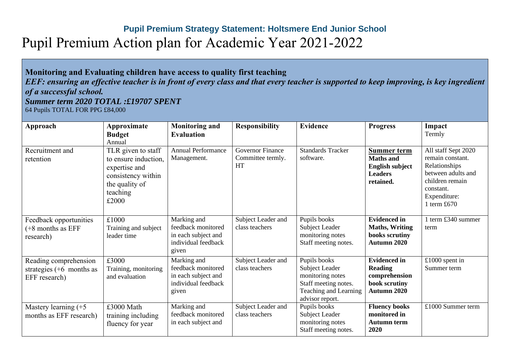## **Pupil Premium Strategy Statement: Holtsmere End Junior School** Pupil Premium Action plan for Academic Year 2021-2022

## **Monitoring and Evaluating children have access to quality first teaching**  *EEF: ensuring an effective teacher is in front of every class and that every teacher is supported to keep improving, is key ingredient of a successful school. Summer term 2020 TOTAL :£19707 SPENT* 64 Pupils TOTAL FOR PPG £84,000

| Approach                                                             | Approximate<br><b>Budget</b><br>Annual                                                                                   | <b>Monitoring and</b><br><b>Evaluation</b>                                               | <b>Responsibility</b>                                     | <b>Evidence</b>                                                                                                        | <b>Progress</b>                                                                                 | Impact<br>Termly                                                                                                                                |
|----------------------------------------------------------------------|--------------------------------------------------------------------------------------------------------------------------|------------------------------------------------------------------------------------------|-----------------------------------------------------------|------------------------------------------------------------------------------------------------------------------------|-------------------------------------------------------------------------------------------------|-------------------------------------------------------------------------------------------------------------------------------------------------|
| Recruitment and<br>retention                                         | TLR given to staff<br>to ensure induction,<br>expertise and<br>consistency within<br>the quality of<br>teaching<br>£2000 | <b>Annual Performance</b><br>Management.                                                 | <b>Governor Finance</b><br>Committee termly.<br><b>HT</b> | <b>Standards Tracker</b><br>software.                                                                                  | <b>Summer term</b><br><b>Maths</b> and<br><b>English subject</b><br><b>Leaders</b><br>retained. | All staff Sept 2020<br>remain constant.<br>Relationships<br>between adults and<br>children remain<br>constant.<br>Expenditure:<br>1 term $£670$ |
| Feedback opportunities<br>(+8 months as EFF<br>research)             | £1000<br>Training and subject<br>leader time                                                                             | Marking and<br>feedback monitored<br>in each subject and<br>individual feedback<br>given | Subject Leader and<br>class teachers                      | Pupils books<br>Subject Leader<br>monitoring notes<br>Staff meeting notes.                                             | <b>Evidenced in</b><br><b>Maths, Writing</b><br>books scrutiny<br>Autumn 2020                   | 1 term £340 summer<br>term                                                                                                                      |
| Reading comprehension<br>strategies $(+6$ months as<br>EFF research) | £3000<br>Training, monitoring<br>and evaluation                                                                          | Marking and<br>feedback monitored<br>in each subject and<br>individual feedback<br>given | Subject Leader and<br>class teachers                      | Pupils books<br>Subject Leader<br>monitoring notes<br>Staff meeting notes.<br>Teaching and Learning<br>advisor report. | <b>Evidenced in</b><br><b>Reading</b><br>comprehension<br>book scrutiny<br>Autumn 2020          | $£1000$ spent in<br>Summer term                                                                                                                 |
| Mastery learning $(+5)$<br>months as EFF research)                   | £3000 Math<br>training including<br>fluency for year                                                                     | Marking and<br>feedback monitored<br>in each subject and                                 | Subject Leader and<br>class teachers                      | Pupils books<br>Subject Leader<br>monitoring notes<br>Staff meeting notes.                                             | <b>Fluency books</b><br>monitored in<br><b>Autumn term</b><br>2020                              | £1000 Summer term                                                                                                                               |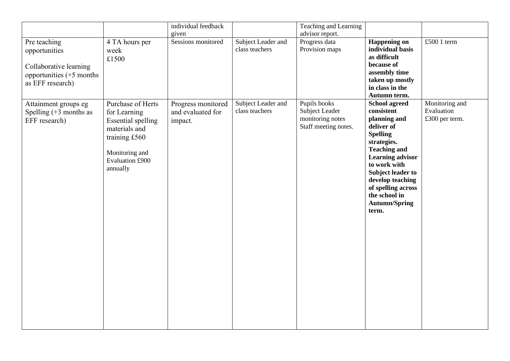| Pre teaching<br>opportunities<br>Collaborative learning<br>opportunities $(+5$ months<br>as EFF research) | 4 TA hours per<br>week<br>£1500                                                                                                                   | individual feedback<br>given<br>Sessions monitored | Subject Leader and<br>class teachers | Teaching and Learning<br>advisor report.<br>Progress data<br>Provision maps | <b>Happening on</b><br>individual basis<br>as difficult<br>because of<br>assembly time<br>taken up mostly<br>in class in the<br>Autumn term.                                                                                                                                                 | £500 1 term                                    |
|-----------------------------------------------------------------------------------------------------------|---------------------------------------------------------------------------------------------------------------------------------------------------|----------------------------------------------------|--------------------------------------|-----------------------------------------------------------------------------|----------------------------------------------------------------------------------------------------------------------------------------------------------------------------------------------------------------------------------------------------------------------------------------------|------------------------------------------------|
| Attainment groups eg<br>Spelling $(+3$ months as<br>EFF research)                                         | Purchase of Herts<br>for Learning<br><b>Essential spelling</b><br>materials and<br>training £560<br>Monitoring and<br>Evaluation £900<br>annually | Progress monitored<br>and evaluated for<br>impact. | Subject Leader and<br>class teachers | Pupils books<br>Subject Leader<br>monitoring notes<br>Staff meeting notes.  | <b>School agreed</b><br>consistent<br>planning and<br>deliver of<br><b>Spelling</b><br>strategies.<br><b>Teaching and</b><br><b>Learning advisor</b><br>to work with<br><b>Subject leader to</b><br>develop teaching<br>of spelling across<br>the school in<br><b>Autumn/Spring</b><br>term. | Monitoring and<br>Evaluation<br>£300 per term. |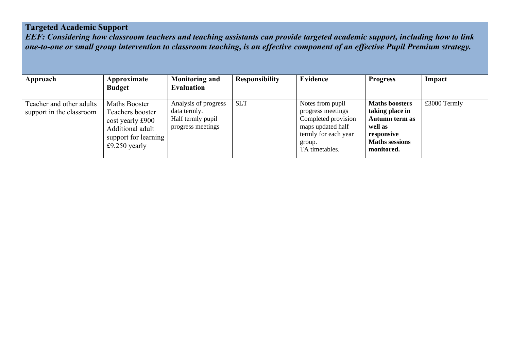## **Targeted Academic Support**

*EEF: Considering how classroom teachers and teaching assistants can provide targeted academic support, including how to link one-to-one or small group intervention to classroom teaching, is an effective component of an effective Pupil Premium strategy.*

| Approach                                             | Approximate<br><b>Budget</b>                                                                                              | <b>Monitoring and</b><br><b>Evaluation</b>                                     | <b>Responsibility</b> | <b>Evidence</b>                                                                                                                       | <b>Progress</b>                                                                                                            | Impact       |
|------------------------------------------------------|---------------------------------------------------------------------------------------------------------------------------|--------------------------------------------------------------------------------|-----------------------|---------------------------------------------------------------------------------------------------------------------------------------|----------------------------------------------------------------------------------------------------------------------------|--------------|
| Teacher and other adults<br>support in the classroom | <b>Maths Booster</b><br>Teachers booster<br>cost yearly £900<br>Additional adult<br>support for learning<br>£9,250 yearly | Analysis of progress<br>data termly.<br>Half termly pupil<br>progress meetings | <b>SLT</b>            | Notes from pupil<br>progress meetings<br>Completed provision<br>maps updated half<br>termly for each year<br>group.<br>TA timetables. | <b>Maths boosters</b><br>taking place in<br>Autumn term as<br>well as<br>responsive<br><b>Maths sessions</b><br>monitored. | £3000 Termly |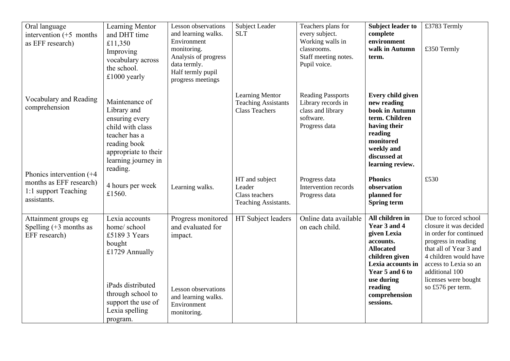| Oral language<br>intervention $(+5$ months<br>as EFF research)                                | Learning Mentor<br>and DHT time<br>£11,350<br>Improving<br>vocabulary across<br>the school.<br>$£1000$ yearly                                                            | <b>Lesson</b> observations<br>and learning walks.<br>Environment<br>monitoring.<br>Analysis of progress<br>data termly.<br>Half termly pupil<br>progress meetings | <b>Subject Leader</b><br><b>SLT</b>                                           | Teachers plans for<br>every subject.<br>Working walls in<br>classrooms.<br>Staff meeting notes.<br>Pupil voice. | <b>Subject leader to</b><br>complete<br>environment<br>walk in Autumn<br>term.                                                                                                                   | £3783 Termly<br>£350 Termly                                                                                                                                                                                                                |
|-----------------------------------------------------------------------------------------------|--------------------------------------------------------------------------------------------------------------------------------------------------------------------------|-------------------------------------------------------------------------------------------------------------------------------------------------------------------|-------------------------------------------------------------------------------|-----------------------------------------------------------------------------------------------------------------|--------------------------------------------------------------------------------------------------------------------------------------------------------------------------------------------------|--------------------------------------------------------------------------------------------------------------------------------------------------------------------------------------------------------------------------------------------|
| Vocabulary and Reading<br>comprehension                                                       | Maintenance of<br>Library and<br>ensuring every<br>child with class<br>teacher has a<br>reading book<br>appropriate to their<br>learning journey in<br>reading.          |                                                                                                                                                                   | <b>Learning Mentor</b><br><b>Teaching Assistants</b><br><b>Class Teachers</b> | <b>Reading Passports</b><br>Library records in<br>class and library<br>software.<br>Progress data               | Every child given<br>new reading<br>book in Autumn<br>term. Children<br>having their<br>reading<br>monitored<br>weekly and<br>discussed at<br>learning review.                                   |                                                                                                                                                                                                                                            |
| Phonics intervention $(+4)$<br>months as EFF research)<br>1:1 support Teaching<br>assistants. | 4 hours per week<br>£1560.                                                                                                                                               | Learning walks.                                                                                                                                                   | HT and subject<br>Leader<br>Class teachers<br>Teaching Assistants.            | Progress data<br>Intervention records<br>Progress data                                                          | <b>Phonics</b><br>observation<br>planned for<br>Spring term                                                                                                                                      | £530                                                                                                                                                                                                                                       |
| Attainment groups eg<br>Spelling $(+3$ months as<br>EFF research)                             | Lexia accounts<br>home/school<br>£5189 3 Years<br>bought<br>£1729 Annually<br>iPads distributed<br>through school to<br>support the use of<br>Lexia spelling<br>program. | Progress monitored<br>and evaluated for<br>impact.<br>Lesson observations<br>and learning walks.<br>Environment<br>monitoring.                                    | HT Subject leaders                                                            | Online data available<br>on each child.                                                                         | All children in<br>Year 3 and 4<br>given Lexia<br>accounts.<br><b>Allocated</b><br>children given<br>Lexia accounts in<br>Year 5 and 6 to<br>use during<br>reading<br>comprehension<br>sessions. | Due to forced school<br>closure it was decided<br>in order for continued<br>progress in reading<br>that all of Year 3 and<br>4 children would have<br>access to Lexia so an<br>additional 100<br>licenses were bought<br>so £576 per term. |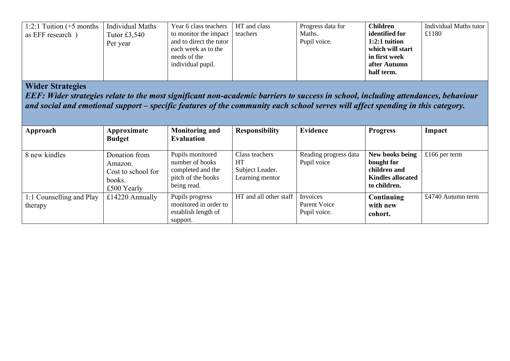| 1:2:1 Tuition $(+5$ months | Individual Maths | Year 6 class teachers   | HT and class | Progress data for | <b>Children</b>  | Individual Maths tutor |
|----------------------------|------------------|-------------------------|--------------|-------------------|------------------|------------------------|
| as EFF research)           | Tutor $£3,540$   | to monitor the impact   | teachers     | Maths.            | identified for   | £1180                  |
|                            | Per year         | and to direct the tutor |              | Pupil voice.      | $1:2:1$ tuition  |                        |
|                            |                  | each week as to the     |              |                   | which will start |                        |
|                            |                  | needs of the            |              |                   | in first week    |                        |
|                            |                  | individual pupil.       |              |                   | after Autumn     |                        |
|                            |                  |                         |              |                   | half term.       |                        |

## **Wider Strategies**

*EEF: Wider strategies relate to the most significant non-academic barriers to success in school, including attendances, behaviour and social and emotional support – specific features of the community each school serves will affect spending in this category.* 

| Approach                 | Approximate        | <b>Monitoring and</b> | <b>Responsibility</b>  | Evidence              | <b>Progress</b>          | Impact            |
|--------------------------|--------------------|-----------------------|------------------------|-----------------------|--------------------------|-------------------|
|                          | <b>Budget</b>      | <b>Evaluation</b>     |                        |                       |                          |                   |
| 8 new kindles            | Donation from      | Pupils monitored      | Class teachers         | Reading progress data | New books being          | £166 per term     |
|                          | Amazon.            | number of books       | HT                     | Pupil voice           | bought for               |                   |
|                          | Cost to school for | completed and the     | Subject Leader.        |                       | children and             |                   |
|                          | books.             | pitch of the books    | Learning mentor        |                       | <b>Kindles allocated</b> |                   |
|                          | £500 Yearly        | being read.           |                        |                       | to children.             |                   |
| 1:1 Counselling and Play | £14220 Annually    | Pupils progress       | HT and all other staff | Invoices              | Continuing               | £4740 Autumn term |
| therapy                  |                    | monitored in order to |                        | Parent Voice          | with new                 |                   |
|                          |                    | establish length of   |                        | Pupil voice.          | cohort.                  |                   |
|                          |                    | support.              |                        |                       |                          |                   |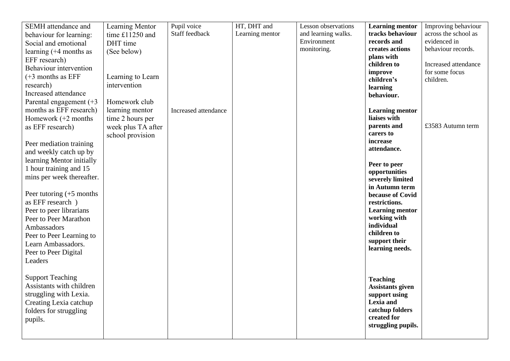| SEMH attendance and        | Learning Mentor    | Pupil voice          | HT, DHT and     | <b>Lesson</b> observations | <b>Learning mentor</b>             | Improving behaviour  |
|----------------------------|--------------------|----------------------|-----------------|----------------------------|------------------------------------|----------------------|
| behaviour for learning:    | time £11250 and    | Staff feedback       | Learning mentor | and learning walks.        | tracks behaviour                   | across the school as |
| Social and emotional       | DHT time           |                      |                 | Environment                | records and                        | evidenced in         |
| learning $(+4$ months as   | (See below)        |                      |                 | monitoring.                | creates actions                    | behaviour records.   |
| EFF research)              |                    |                      |                 |                            | plans with                         |                      |
| Behaviour intervention     |                    |                      |                 |                            | children to                        | Increased attendance |
| $(+3$ months as EFF        | Learning to Learn  |                      |                 |                            | improve                            | for some focus       |
| research)                  | intervention       |                      |                 |                            | children's<br>learning             | children.            |
| Increased attendance       |                    |                      |                 |                            | behaviour.                         |                      |
| Parental engagement $(+3)$ | Homework club      |                      |                 |                            |                                    |                      |
| months as EFF research)    | learning mentor    | Increased attendance |                 |                            | <b>Learning mentor</b>             |                      |
| Homework $(+2$ months      | time 2 hours per   |                      |                 |                            | liaises with                       |                      |
| as EFF research)           | week plus TA after |                      |                 |                            | parents and                        | £3583 Autumn term    |
|                            | school provision   |                      |                 |                            | carers to                          |                      |
| Peer mediation training    |                    |                      |                 |                            | increase                           |                      |
| and weekly catch up by     |                    |                      |                 |                            | attendance.                        |                      |
| learning Mentor initially  |                    |                      |                 |                            |                                    |                      |
| 1 hour training and 15     |                    |                      |                 |                            | Peer to peer                       |                      |
| mins per week thereafter.  |                    |                      |                 |                            | opportunities                      |                      |
|                            |                    |                      |                 |                            | severely limited<br>in Autumn term |                      |
| Peer tutoring $(+5$ months |                    |                      |                 |                            | because of Covid                   |                      |
| as EFF research)           |                    |                      |                 |                            | restrictions.                      |                      |
| Peer to peer librarians    |                    |                      |                 |                            | <b>Learning mentor</b>             |                      |
| Peer to Peer Marathon      |                    |                      |                 |                            | working with                       |                      |
| Ambassadors                |                    |                      |                 |                            | individual                         |                      |
| Peer to Peer Learning to   |                    |                      |                 |                            | children to                        |                      |
| Learn Ambassadors.         |                    |                      |                 |                            | support their                      |                      |
| Peer to Peer Digital       |                    |                      |                 |                            | learning needs.                    |                      |
| Leaders                    |                    |                      |                 |                            |                                    |                      |
|                            |                    |                      |                 |                            |                                    |                      |
| <b>Support Teaching</b>    |                    |                      |                 |                            |                                    |                      |
| Assistants with children   |                    |                      |                 |                            | <b>Teaching</b>                    |                      |
| struggling with Lexia.     |                    |                      |                 |                            | <b>Assistants given</b>            |                      |
| Creating Lexia catchup     |                    |                      |                 |                            | support using<br>Lexia and         |                      |
| folders for struggling     |                    |                      |                 |                            | catchup folders                    |                      |
|                            |                    |                      |                 |                            | created for                        |                      |
| pupils.                    |                    |                      |                 |                            | struggling pupils.                 |                      |
|                            |                    |                      |                 |                            |                                    |                      |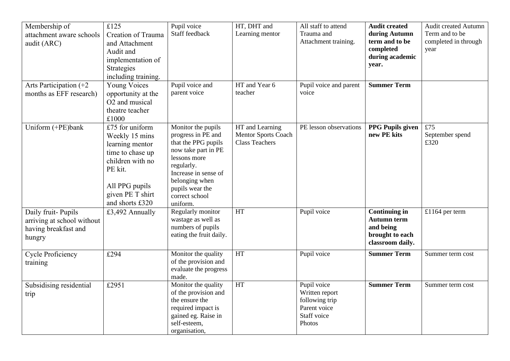| Membership of<br>attachment aware schools<br>audit (ARC)<br>Arts Participation $(+2)$<br>months as EFF research) | £125<br>Creation of Trauma<br>and Attachment<br>Audit and<br>implementation of<br>Strategies<br>including training.<br><b>Young Voices</b><br>opportunity at the<br>O2 and musical<br>theatre teacher<br>£1000 | Pupil voice<br>Staff feedback<br>Pupil voice and<br>parent voice                                                                                                                                                | HT, DHT and<br>Learning mentor<br>HT and Year 6<br>teacher             | All staff to attend<br>Trauma and<br>Attachment training.<br>Pupil voice and parent<br>voice | <b>Audit created</b><br>during Autumn<br>term and to be<br>completed<br>during academic<br>year.<br><b>Summer Term</b> | Audit created Autumn<br>Term and to be<br>completed in through<br>year |
|------------------------------------------------------------------------------------------------------------------|----------------------------------------------------------------------------------------------------------------------------------------------------------------------------------------------------------------|-----------------------------------------------------------------------------------------------------------------------------------------------------------------------------------------------------------------|------------------------------------------------------------------------|----------------------------------------------------------------------------------------------|------------------------------------------------------------------------------------------------------------------------|------------------------------------------------------------------------|
| Uniform (+PE)bank                                                                                                | £75 for uniform<br>Weekly 15 mins<br>learning mentor<br>time to chase up<br>children with no<br>PE kit.<br>All PPG pupils<br>given PE T shirt<br>and shorts £320                                               | Monitor the pupils<br>progress in PE and<br>that the PPG pupils<br>now take part in PE<br>lessons more<br>regularly.<br>Increase in sense of<br>belonging when<br>pupils wear the<br>correct school<br>uniform. | HT and Learning<br><b>Mentor Sports Coach</b><br><b>Class Teachers</b> | PE lesson observations                                                                       | <b>PPG Pupils given</b><br>new PE kits                                                                                 | £75<br>September spend<br>£320                                         |
| Daily fruit-Pupils<br>arriving at school without<br>having breakfast and<br>hungry                               | £3,492 Annually                                                                                                                                                                                                | Regularly monitor<br>wastage as well as<br>numbers of pupils<br>eating the fruit daily.                                                                                                                         | HT                                                                     | Pupil voice                                                                                  | <b>Continuing in</b><br><b>Autumn term</b><br>and being<br>brought to each<br>classroom daily.                         | £1164 per term                                                         |
| <b>Cycle Proficiency</b><br>training                                                                             | £294                                                                                                                                                                                                           | Monitor the quality<br>of the provision and<br>evaluate the progress<br>made.                                                                                                                                   | HT                                                                     | Pupil voice                                                                                  | <b>Summer Term</b>                                                                                                     | Summer term cost                                                       |
| Subsidising residential<br>trip                                                                                  | £2951                                                                                                                                                                                                          | Monitor the quality<br>of the provision and<br>the ensure the<br>required impact is<br>gained eg. Raise in<br>self-esteem,<br>organisation,                                                                     | <b>HT</b>                                                              | Pupil voice<br>Written report<br>following trip<br>Parent voice<br>Staff voice<br>Photos     | <b>Summer Term</b>                                                                                                     | Summer term cost                                                       |